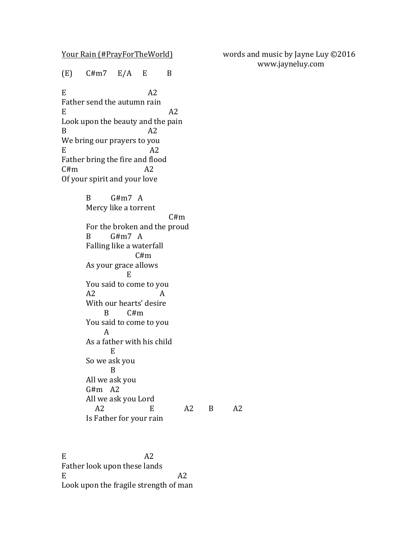$(E)$   $C \# m7$   $E/A$   $E$   $B$ 

 $E$  A2 Father send the autumn rain  $E$  A2 Look upon the beauty and the pain  $B$   $A2$ We bring our prayers to you  $E$  A2 Father bring the fire and flood  $C \# m$  A2 Of your spirit and your love

> B G#m7 A Mercy like a torrent  $C \# m$ For the broken and the proud B G#m7 A Falling like a waterfall C#m As your grace allows E You said to come to you A2 A With our hearts' desire  $B$   $C \# m$ You said to come to you A As a father with his child E So we ask you B All we ask you  $G#m$  A2 All we ask you Lord A2 E A2 B A2 Is Father for your rain

 $E$  A2 Father look upon these lands  $E$  A2 Look upon the fragile strength of man

Your Rain (#PrayForTheWorld) words and music by Jayne Luy ©2016 www.jayneluy.com